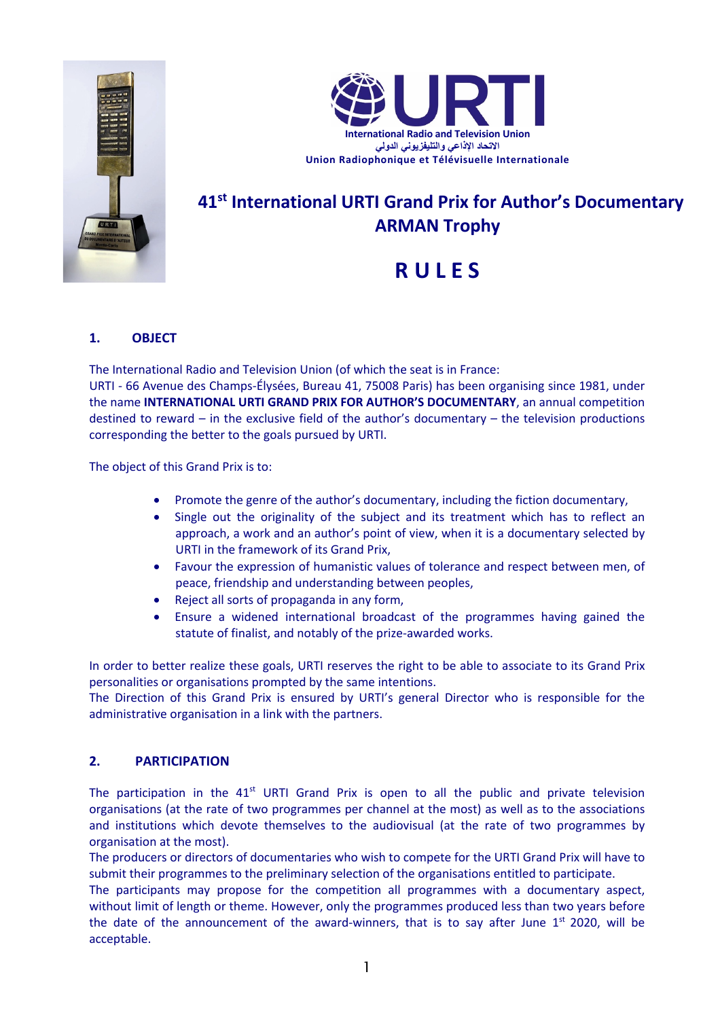



## **41st International URTI Grand Prix for Author's Documentary ARMAN Trophy**

# **R U L E S**

## **1. OBJECT**

The International Radio and Television Union (of which the seat is in France:

URTI - 66 Avenue des Champs-Élysées, Bureau 41, 75008 Paris) has been organising since 1981, under the name **INTERNATIONAL URTI GRAND PRIX FOR AUTHOR'S DOCUMENTARY**, an annual competition destined to reward – in the exclusive field of the author's documentary – the television productions corresponding the better to the goals pursued by URTI.

The object of this Grand Prix is to:

- Promote the genre of the author's documentary, including the fiction documentary,
- Single out the originality of the subject and its treatment which has to reflect an approach, a work and an author's point of view, when it is a documentary selected by URTI in the framework of its Grand Prix,
- Favour the expression of humanistic values of tolerance and respect between men, of peace, friendship and understanding between peoples,
- Reject all sorts of propaganda in any form,
- Ensure a widened international broadcast of the programmes having gained the statute of finalist, and notably of the prize-awarded works.

In order to better realize these goals, URTI reserves the right to be able to associate to its Grand Prix personalities or organisations prompted by the same intentions.

The Direction of this Grand Prix is ensured by URTI's general Director who is responsible for the administrative organisation in a link with the partners.

### **2. PARTICIPATION**

The participation in the  $41<sup>st</sup>$  URTI Grand Prix is open to all the public and private television organisations (at the rate of two programmes per channel at the most) as well as to the associations and institutions which devote themselves to the audiovisual (at the rate of two programmes by organisation at the most).

The producers or directors of documentaries who wish to compete for the URTI Grand Prix will have to submit their programmes to the preliminary selection of the organisations entitled to participate.

The participants may propose for the competition all programmes with a documentary aspect, without limit of length or theme. However, only the programmes produced less than two years before the date of the announcement of the award-winners, that is to say after June  $1<sup>st</sup>$  2020, will be acceptable.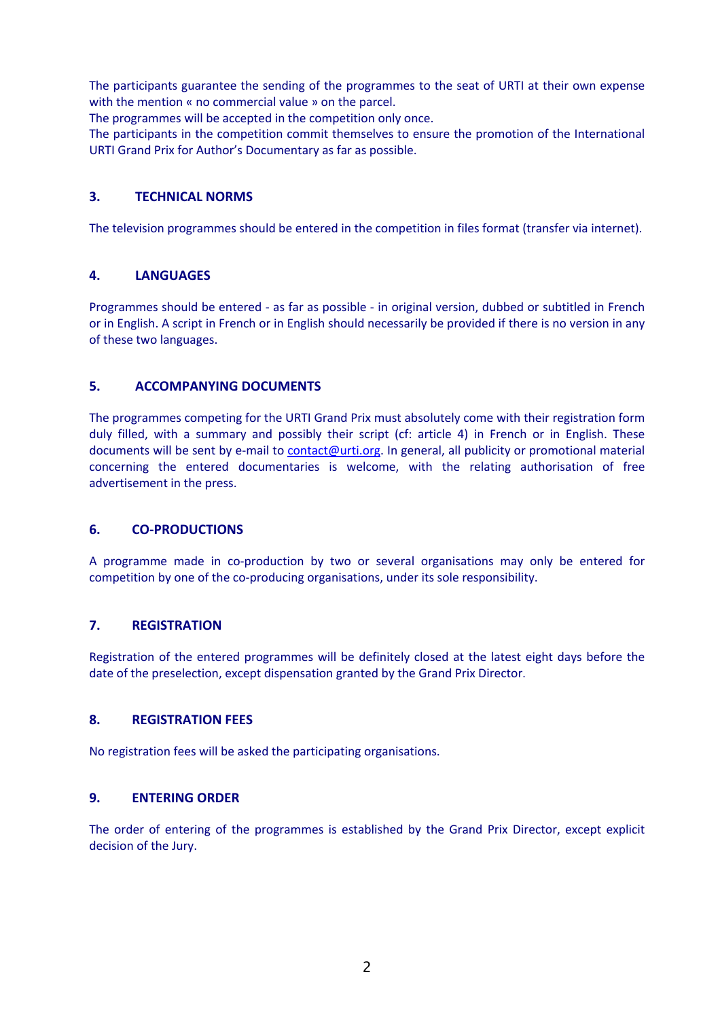The participants guarantee the sending of the programmes to the seat of URTI at their own expense with the mention « no commercial value » on the parcel.

The programmes will be accepted in the competition only once.

The participants in the competition commit themselves to ensure the promotion of the International URTI Grand Prix for Author's Documentary as far as possible.

#### **3. TECHNICAL NORMS**

The television programmes should be entered in the competition in files format (transfer via internet).

#### **4. LANGUAGES**

Programmes should be entered - as far as possible - in original version, dubbed or subtitled in French or in English. A script in French or in English should necessarily be provided if there is no version in any of these two languages.

#### **5. ACCOMPANYING DOCUMENTS**

The programmes competing for the URTI Grand Prix must absolutely come with their registration form duly filled, with a summary and possibly their script (cf: article 4) in French or in English. These documents will be sent by e-mail to contact@urti.org. In general, all publicity or promotional material concerning the entered documentaries is welcome, with the relating authorisation of free advertisement in the press.

#### **6. CO-PRODUCTIONS**

A programme made in co-production by two or several organisations may only be entered for competition by one of the co-producing organisations, under its sole responsibility.

#### **7. REGISTRATION**

Registration of the entered programmes will be definitely closed at the latest eight days before the date of the preselection, except dispensation granted by the Grand Prix Director.

#### **8. REGISTRATION FEES**

No registration fees will be asked the participating organisations.

#### **9. ENTERING ORDER**

The order of entering of the programmes is established by the Grand Prix Director, except explicit decision of the Jury.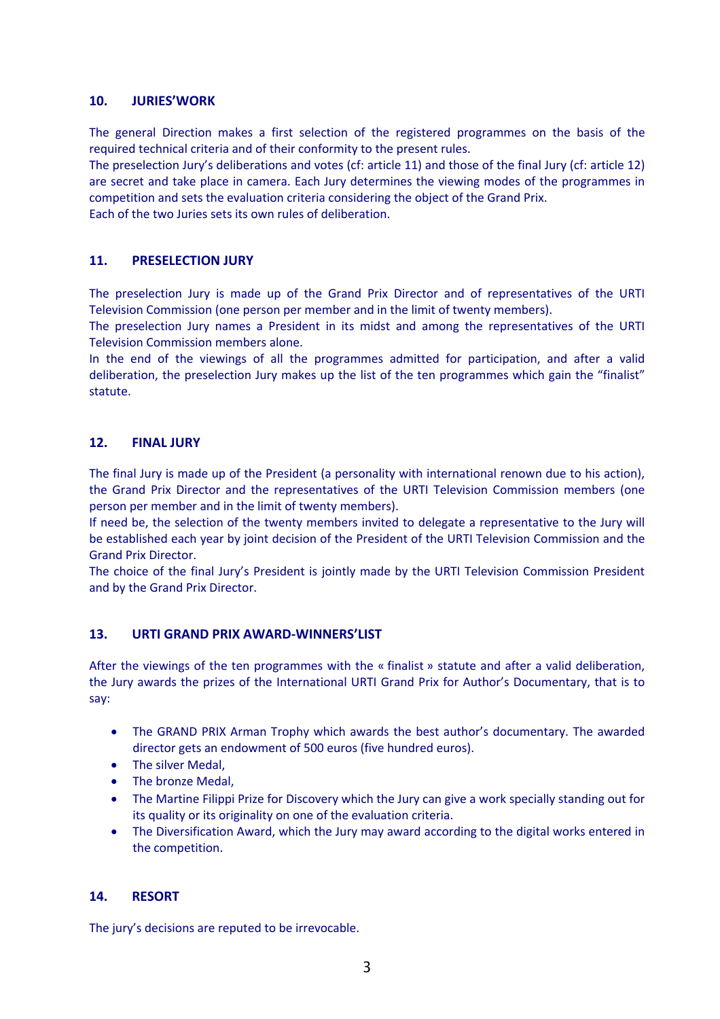#### **10. JURIES'WORK**

The general Direction makes a first selection of the registered programmes on the basis of the required technical criteria and of their conformity to the present rules.

The preselection Jury's deliberations and votes (cf: article 11) and those of the final Jury (cf: article 12) are secret and take place in camera. Each Jury determines the viewing modes of the programmes in competition and sets the evaluation criteria considering the object of the Grand Prix.

Each of the two Juries sets its own rules of deliberation.

#### **11. PRESELECTION JURY**

The preselection Jury is made up of the Grand Prix Director and of representatives of the URTI Television Commission (one person per member and in the limit of twenty members).

The preselection Jury names a President in its midst and among the representatives of the URTI Television Commission members alone.

In the end of the viewings of all the programmes admitted for participation, and after a valid deliberation, the preselection Jury makes up the list of the ten programmes which gain the "finalist" statute.

#### **12. FINAL JURY**

The final Jury is made up of the President (a personality with international renown due to his action), the Grand Prix Director and the representatives of the URTI Television Commission members (one person per member and in the limit of twenty members).

If need be, the selection of the twenty members invited to delegate a representative to the Jury will be established each year by joint decision of the President of the URTI Television Commission and the Grand Prix Director.

The choice of the final Jury's President is jointly made by the URTI Television Commission President and by the Grand Prix Director.

#### **13. URTI GRAND PRIX AWARD-WINNERS'LIST**

After the viewings of the ten programmes with the « finalist » statute and after a valid deliberation, the Jury awards the prizes of the International URTI Grand Prix for Author's Documentary, that is to say:

- The GRAND PRIX Arman Trophy which awards the best author's documentary. The awarded director gets an endowment of 500 euros (five hundred euros).
- The silver Medal,
- The bronze Medal,
- The Martine Filippi Prize for Discovery which the Jury can give a work specially standing out for its quality or its originality on one of the evaluation criteria.
- The Diversification Award, which the Jury may award according to the digital works entered in the competition.

#### **14. RESORT**

The jury's decisions are reputed to be irrevocable.